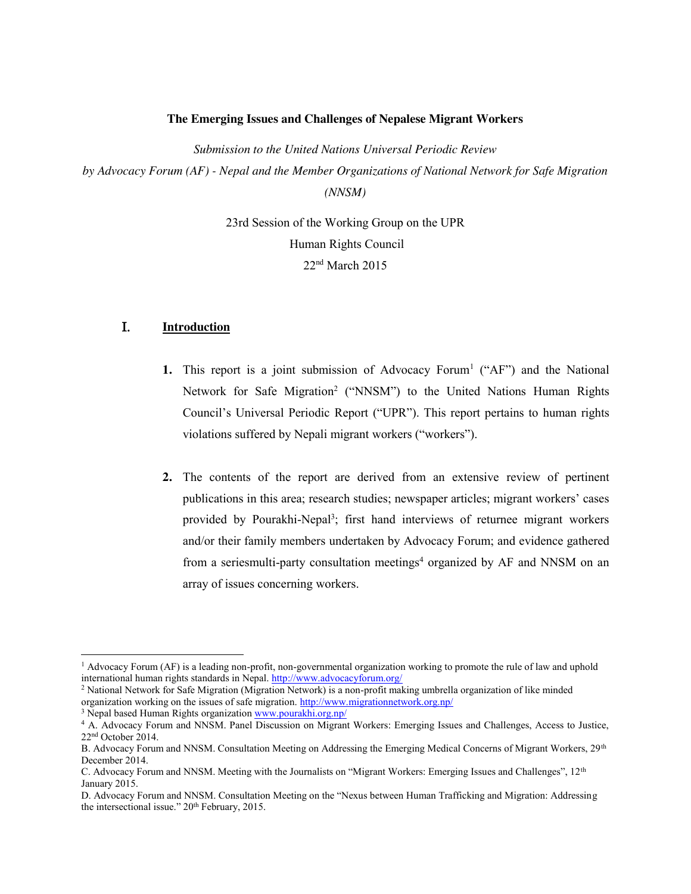#### **The Emerging Issues and Challenges of Nepalese Migrant Workers**

*Submission to the United Nations Universal Periodic Review by Advocacy Forum (AF) - Nepal and the Member Organizations of National Network for Safe Migration (NNSM)*

> 23rd Session of the Working Group on the UPR Human Rights Council 22nd March 2015

## I. **Introduction**

- **1.** This report is a joint submission of Advocacy Forum<sup>1</sup> ( $A$ F<sup>"</sup>) and the National Network for Safe Migration<sup>2</sup> ("NNSM") to the United Nations Human Rights Council's Universal Periodic Report ("UPR"). This report pertains to human rights violations suffered by Nepali migrant workers ("workers").
- **2.** The contents of the report are derived from an extensive review of pertinent publications in this area; research studies; newspaper articles; migrant workers' cases provided by Pourakhi-Nepal<sup>3</sup>; first hand interviews of returnee migrant workers and/or their family members undertaken by Advocacy Forum; and evidence gathered from a seriesmulti-party consultation meetings<sup>4</sup> organized by AF and NNSM on an array of issues concerning workers.

<sup>1</sup> Advocacy Forum (AF) is a leading non-profit, non-governmental organization working to promote the rule of law and uphold international human rights standards in Nepal. http://www.advocacyforum.org/

<sup>2</sup> National Network for Safe Migration (Migration Network) is a non-profit making umbrella organization of like minded organization working on the issues of safe migration. http://www.migrationnetwork.org.np/

<sup>&</sup>lt;sup>3</sup> Nepal based Human Rights organization www.pourakhi.org.np/

<sup>4</sup> A. Advocacy Forum and NNSM. Panel Discussion on Migrant Workers: Emerging Issues and Challenges, Access to Justice, 22nd October 2014.

B. Advocacy Forum and NNSM. Consultation Meeting on Addressing the Emerging Medical Concerns of Migrant Workers, 29<sup>th</sup> December 2014.

C. Advocacy Forum and NNSM. Meeting with the Journalists on "Migrant Workers: Emerging Issues and Challenges", 12<sup>th</sup> January 2015.

D. Advocacy Forum and NNSM. Consultation Meeting on the "Nexus between Human Trafficking and Migration: Addressing the intersectional issue." 20<sup>th</sup> February, 2015.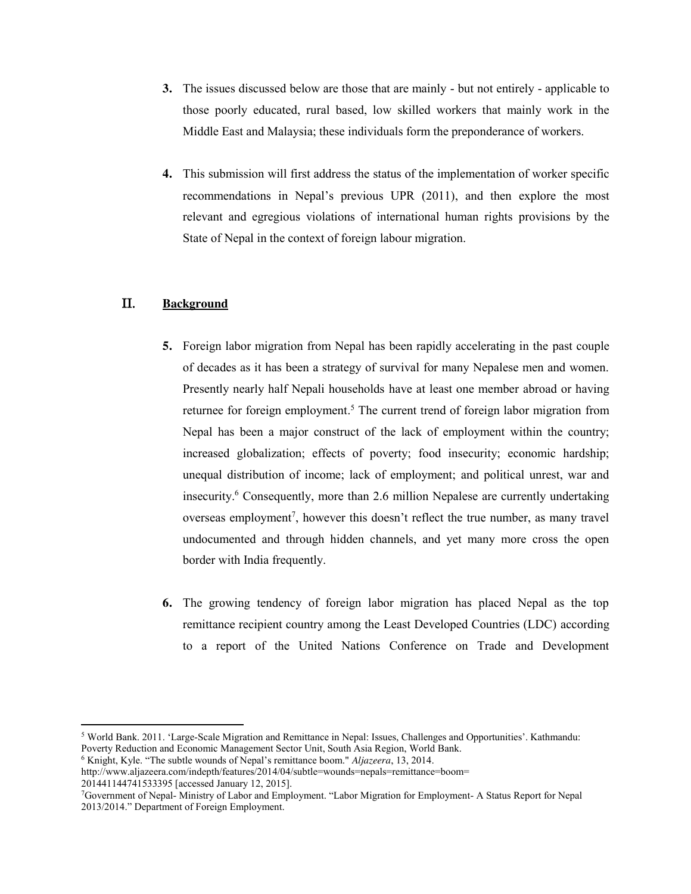- **3.** The issues discussed below are those that are mainly but not entirely applicable to those poorly educated, rural based, low skilled workers that mainly work in the Middle East and Malaysia; these individuals form the preponderance of workers.
- **4.** This submission will first address the status of the implementation of worker specific recommendations in Nepal's previous UPR (2011), and then explore the most relevant and egregious violations of international human rights provisions by the State of Nepal in the context of foreign labour migration.

# II. **Background**

- **5.** Foreign labor migration from Nepal has been rapidly accelerating in the past couple of decades as it has been a strategy of survival for many Nepalese men and women. Presently nearly half Nepali households have at least one member abroad or having returnee for foreign employment.<sup>5</sup> The current trend of foreign labor migration from Nepal has been a major construct of the lack of employment within the country; increased globalization; effects of poverty; food insecurity; economic hardship; unequal distribution of income; lack of employment; and political unrest, war and insecurity.6 Consequently, more than 2.6 million Nepalese are currently undertaking overseas employment<sup>7</sup>, however this doesn't reflect the true number, as many travel undocumented and through hidden channels, and yet many more cross the open border with India frequently.
- **6.** The growing tendency of foreign labor migration has placed Nepal as the top remittance recipient country among the Least Developed Countries (LDC) according to a report of the United Nations Conference on Trade and Development

<sup>5</sup> World Bank. 2011. 'Large-Scale Migration and Remittance in Nepal: Issues, Challenges and Opportunities'. Kathmandu: Poverty Reduction and Economic Management Sector Unit, South Asia Region, World Bank.

<sup>6</sup> Knight, Kyle. "The subtle wounds of Nepal's remittance boom." *Aljazeera*, 13, 2014.

http://www.aljazeera.com/indepth/features/2014/04/subtle=wounds=nepals=remittance=boom= 201441144741533395 [accessed January 12, 2015].

<sup>7</sup>Government of Nepal- Ministry of Labor and Employment. "Labor Migration for Employment- A Status Report for Nepal 2013/2014." Department of Foreign Employment.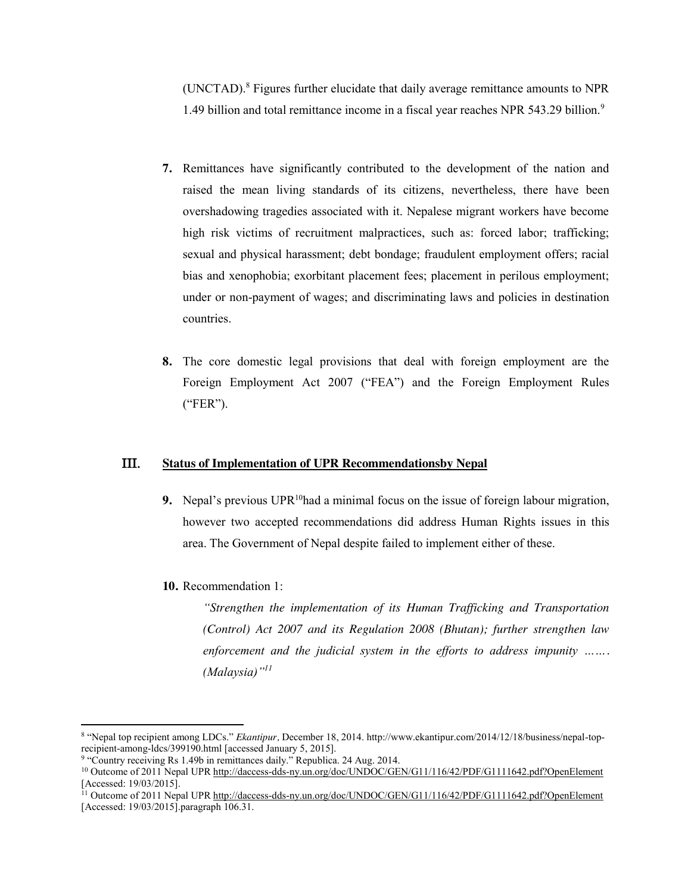(UNCTAD).8 Figures further elucidate that daily average remittance amounts to NPR 1.49 billion and total remittance income in a fiscal year reaches NPR 543.29 billion.9

- **7.** Remittances have significantly contributed to the development of the nation and raised the mean living standards of its citizens, nevertheless, there have been overshadowing tragedies associated with it. Nepalese migrant workers have become high risk victims of recruitment malpractices, such as: forced labor; trafficking; sexual and physical harassment; debt bondage; fraudulent employment offers; racial bias and xenophobia; exorbitant placement fees; placement in perilous employment; under or non-payment of wages; and discriminating laws and policies in destination countries.
- **8.** The core domestic legal provisions that deal with foreign employment are the Foreign Employment Act 2007 ("FEA") and the Foreign Employment Rules ("FER").

## III. **Status of Implementation of UPR Recommendationsby Nepal**

- **9.** Nepal's previous  $UPR^{10}$ had a minimal focus on the issue of foreign labour migration, however two accepted recommendations did address Human Rights issues in this area. The Government of Nepal despite failed to implement either of these.
- **10.** Recommendation 1:

*"Strengthen the implementation of its Human Trafficking and Transportation (Control) Act 2007 and its Regulation 2008 (Bhutan); further strengthen law enforcement and the judicial system in the efforts to address impunity ……. (Malaysia)"<sup>11</sup>*

<sup>&</sup>lt;sup>8</sup> "Nepal top recipient among LDCs." *Ekantipur*, December 18, 2014. http://www.ekantipur.com/2014/12/18/business/nepal-top-<br>recipient-among-ldcs/399190.html [accessed January 5, 2015].

<sup>&</sup>lt;sup>9</sup> "Country receiving Rs 1.49b in remittances daily." Republica. 24 Aug. 2014.

<sup>&</sup>lt;sup>10</sup> Outcome of 2011 Nepal UPR http://daccess-dds-ny.un.org/doc/UNDOC/GEN/G11/116/42/PDF/G1111642.pdf?OpenElement [Accessed: 19/03/2015].

<sup>&</sup>lt;sup>11</sup> Outcome of 2011 Nepal UPR http://daccess-dds-ny.un.org/doc/UNDOC/GEN/G11/116/42/PDF/G1111642.pdf?OpenElement [Accessed: 19/03/2015].paragraph 106.31.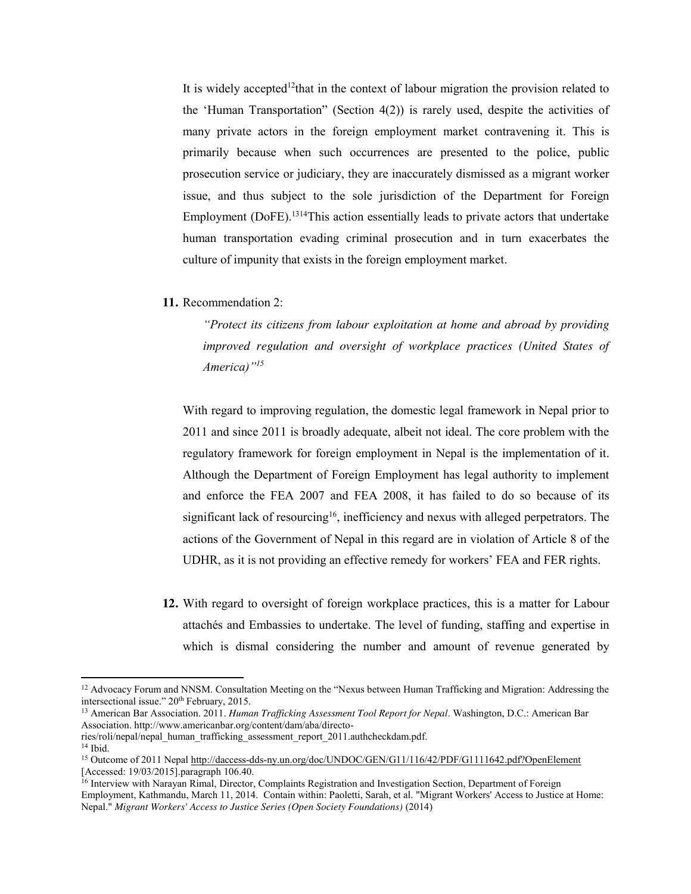It is widely accepted<sup>12</sup>that in the context of labour migration the provision related to the 'Human Transportation" (Section 4(2)) is rarely used, despite the activities of many private actors in the foreign employment market contravening it. This is primarily because when such occurrences are presented to the police, public prosecution service or judiciary, they are inaccurately dismissed as a migrant worker issue, and thus subject to the sole jurisdiction of the Department for Foreign Employment (DoFE). 1314This action essentially leads to private actors that undertake human transportation evading criminal prosecution and in turn exacerbates the culture of impunity that exists in the foreign employment market.

**11.** Recommendation 2:

*"Protect its citizens from labour exploitation at home and abroad by providing improved regulation and oversight of workplace practices (United States of America)"<sup>15</sup>*

With regard to improving regulation, the domestic legal framework in Nepal prior to 2011 and since 2011 is broadly adequate, albeit not ideal. The core problem with the regulatory framework for foreign employment in Nepal is the implementation of it. Although the Department of Foreign Employment has legal authority to implement and enforce the FEA 2007 and FEA 2008, it has failed to do so because of its significant lack of resourcing<sup>16</sup>, inefficiency and nexus with alleged perpetrators. The actions of the Government of Nepal in this regard are in violation of Article 8 of the UDHR, as it is not providing an effective remedy for workers' FEA and FER rights.

**12.** With regard to oversight of foreign workplace practices, this is a matter for Labour attachés and Embassies to undertake. The level of funding, staffing and expertise in which is dismal considering the number and amount of revenue generated by

<sup>&</sup>lt;sup>12</sup> Advocacy Forum and NNSM. Consultation Meeting on the "Nexus between Human Trafficking and Migration: Addressing the intersectional issue." 20<sup>th</sup> February, 2015.

<sup>13</sup> American Bar Association. 2011. *Human Trafficking Assessment Tool Report for Nepal*. Washington, D.C.: American Bar Association. http://www.americanbar.org/content/dam/aba/directo-

ries/roli/nepal/nepal\_human\_trafficking\_assessment\_report\_2011.authcheckdam.pdf.

 $14$  Ibid.

<sup>&</sup>lt;sup>15</sup> Outcome of 2011 Nepal http://daccess-dds-ny.un.org/doc/UNDOC/GEN/G11/116/42/PDF/G1111642.pdf?OpenElement [Accessed: 19/03/2015].paragraph 106.40.

<sup>16</sup> Interview with Narayan Rimal, Director, Complaints Registration and Investigation Section, Department of Foreign Employment, Kathmandu, March 11, 2014. Contain within: Paoletti, Sarah, et al. "Migrant Workers' Access to Justice at Home: Nepal." *Migrant Workers' Access to Justice Series (Open Society Foundations)* (2014)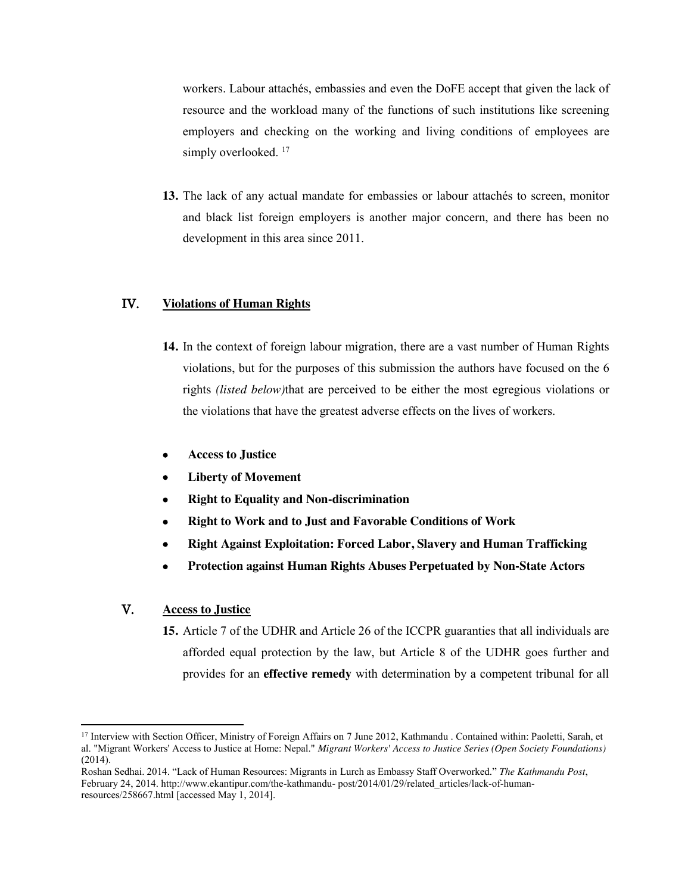workers. Labour attachés, embassies and even the DoFE accept that given the lack of resource and the workload many of the functions of such institutions like screening employers and checking on the working and living conditions of employees are simply overlooked.<sup>17</sup>

**13.** The lack of any actual mandate for embassies or labour attachés to screen, monitor and black list foreign employers is another major concern, and there has been no development in this area since 2011.

## IV. **Violations of Human Rights**

- **14.** In the context of foreign labour migration, there are a vast number of Human Rights violations, but for the purposes of this submission the authors have focused on the 6 rights *(listed below)*that are perceived to be either the most egregious violations or the violations that have the greatest adverse effects on the lives of workers.
- x **Access to Justice**
- **Liberty of Movement**
- x **Right to Equality and Non-discrimination**
- x **Right to Work and to Just and Favorable Conditions of Work**
- x **Right Against Exploitation: Forced Labor, Slavery and Human Trafficking**
- x **Protection against Human Rights Abuses Perpetuated by Non-State Actors**

# V. **Access to Justice**

 $\overline{\phantom{a}}$ 

**15.** Article 7 of the UDHR and Article 26 of the ICCPR guaranties that all individuals are afforded equal protection by the law, but Article 8 of the UDHR goes further and provides for an **effective remedy** with determination by a competent tribunal for all

<sup>&</sup>lt;sup>17</sup> Interview with Section Officer, Ministry of Foreign Affairs on 7 June 2012, Kathmandu . Contained within: Paoletti, Sarah, et al. "Migrant Workers' Access to Justice at Home: Nepal." *Migrant Workers' Access to Justice Series (Open Society Foundations)* (2014).

Roshan Sedhai. 2014. "Lack of Human Resources: Migrants in Lurch as Embassy Staff Overworked." *The Kathmandu Post*, February 24, 2014. http://www.ekantipur.com/the-kathmandu- post/2014/01/29/related\_articles/lack-of-humanresources/258667.html [accessed May 1, 2014].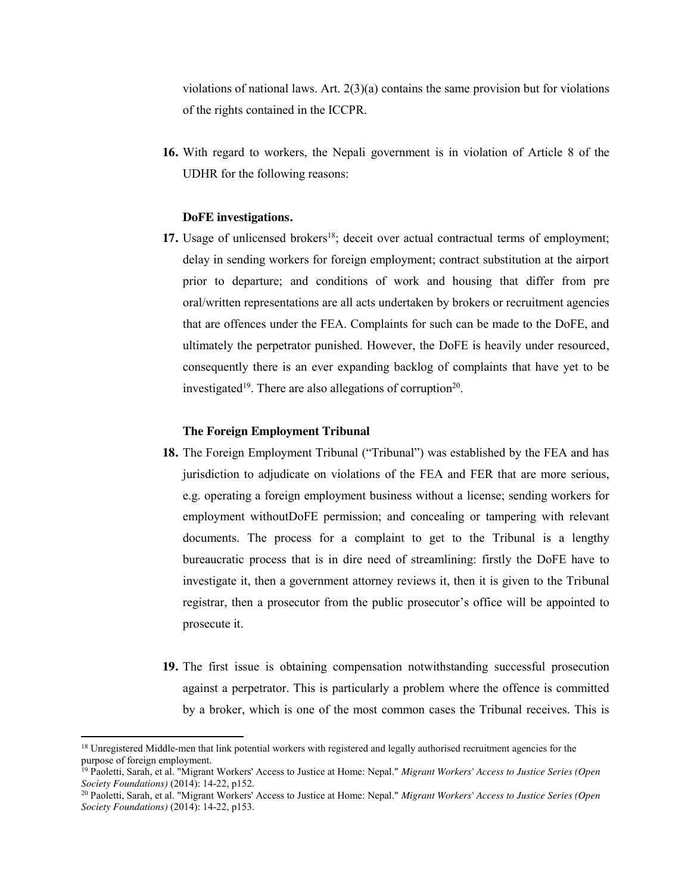violations of national laws. Art.  $2(3)(a)$  contains the same provision but for violations of the rights contained in the ICCPR.

**16.** With regard to workers, the Nepali government is in violation of Article 8 of the UDHR for the following reasons:

#### **DoFE investigations.**

**17.** Usage of unlicensed brokers<sup>18</sup>; deceit over actual contractual terms of employment; delay in sending workers for foreign employment; contract substitution at the airport prior to departure; and conditions of work and housing that differ from pre oral/written representations are all acts undertaken by brokers or recruitment agencies that are offences under the FEA. Complaints for such can be made to the DoFE, and ultimately the perpetrator punished. However, the DoFE is heavily under resourced, consequently there is an ever expanding backlog of complaints that have yet to be investigated<sup>19</sup>. There are also allegations of corruption<sup>20</sup>.

#### **The Foreign Employment Tribunal**

- **18.** The Foreign Employment Tribunal ("Tribunal") was established by the FEA and has jurisdiction to adjudicate on violations of the FEA and FER that are more serious, e.g. operating a foreign employment business without a license; sending workers for employment withoutDoFE permission; and concealing or tampering with relevant documents. The process for a complaint to get to the Tribunal is a lengthy bureaucratic process that is in dire need of streamlining: firstly the DoFE have to investigate it, then a government attorney reviews it, then it is given to the Tribunal registrar, then a prosecutor from the public prosecutor's office will be appointed to prosecute it.
- **19.** The first issue is obtaining compensation notwithstanding successful prosecution against a perpetrator. This is particularly a problem where the offence is committed by a broker, which is one of the most common cases the Tribunal receives. This is

<sup>&</sup>lt;sup>18</sup> Unregistered Middle-men that link potential workers with registered and legally authorised recruitment agencies for the purpose of foreign employment.

<sup>19</sup> Paoletti, Sarah, et al. "Migrant Workers' Access to Justice at Home: Nepal." *Migrant Workers' Access to Justice Series (Open Society Foundations)* (2014): 14-22, p152.

<sup>20</sup> Paoletti, Sarah, et al. "Migrant Workers' Access to Justice at Home: Nepal." *Migrant Workers' Access to Justice Series (Open Society Foundations)* (2014): 14-22, p153.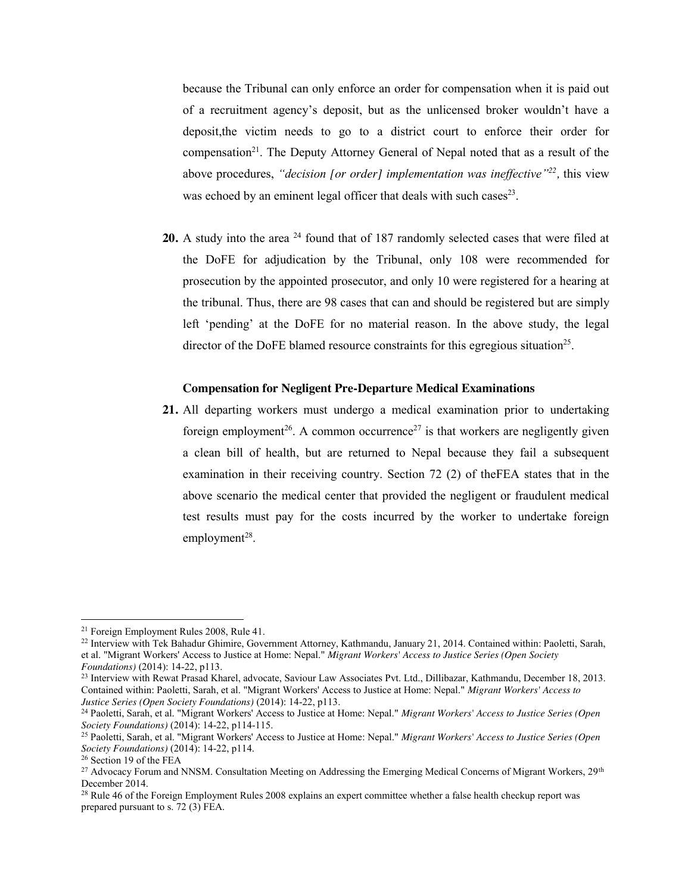because the Tribunal can only enforce an order for compensation when it is paid out of a recruitment agency's deposit, but as the unlicensed broker wouldn't have a deposit,the victim needs to go to a district court to enforce their order for compensation<sup>21</sup>. The Deputy Attorney General of Nepal noted that as a result of the above procedures, *"decision [or order] implementation was ineffective"22,* this view was echoed by an eminent legal officer that deals with such cases  $23$ .

20. A study into the area <sup>24</sup> found that of 187 randomly selected cases that were filed at the DoFE for adjudication by the Tribunal, only 108 were recommended for prosecution by the appointed prosecutor, and only 10 were registered for a hearing at the tribunal. Thus, there are 98 cases that can and should be registered but are simply left 'pending' at the DoFE for no material reason. In the above study, the legal director of the DoFE blamed resource constraints for this egregious situation<sup>25</sup>.

#### **Compensation for Negligent Pre-Departure Medical Examinations**

**21.** All departing workers must undergo a medical examination prior to undertaking foreign employment<sup>26</sup>. A common occurrence<sup>27</sup> is that workers are negligently given a clean bill of health, but are returned to Nepal because they fail a subsequent examination in their receiving country. Section 72 (2) of theFEA states that in the above scenario the medical center that provided the negligent or fraudulent medical test results must pay for the costs incurred by the worker to undertake foreign employment $28$ .

<sup>&</sup>lt;sup>21</sup> Foreign Employment Rules 2008, Rule 41.<br><sup>22</sup> Interview with Tek Bahadur Ghimire, Government Attorney, Kathmandu, January 21, 2014. Contained within: Paoletti, Sarah, et al. "Migrant Workers' Access to Justice at Home: Nepal." *Migrant Workers' Access to Justice Series (Open Society* 

<sup>&</sup>lt;sup>23</sup> Interview with Rewat Prasad Kharel, advocate, Saviour Law Associates Pvt. Ltd., Dillibazar, Kathmandu, December 18, 2013. Contained within: Paoletti, Sarah, et al. "Migrant Workers' Access to Justice at Home: Nepal." *Migrant Workers' Access to Justice Series (Open Society Foundations)* (2014): 14-22, p113.

<sup>24</sup> Paoletti, Sarah, et al. "Migrant Workers' Access to Justice at Home: Nepal." *Migrant Workers' Access to Justice Series (Open Society Foundations)* (2014): 14-22, p114-115.

<sup>25</sup> Paoletti, Sarah, et al. "Migrant Workers' Access to Justice at Home: Nepal." *Migrant Workers' Access to Justice Series (Open Society Foundations)* (2014): 14-22, p114.

<sup>26</sup> Section 19 of the FEA

<sup>&</sup>lt;sup>27</sup> Advocacy Forum and NNSM. Consultation Meeting on Addressing the Emerging Medical Concerns of Migrant Workers, 29<sup>th</sup> December 2014.

<sup>&</sup>lt;sup>28</sup> Rule 46 of the Foreign Employment Rules 2008 explains an expert committee whether a false health checkup report was prepared pursuant to s. 72 (3) FEA.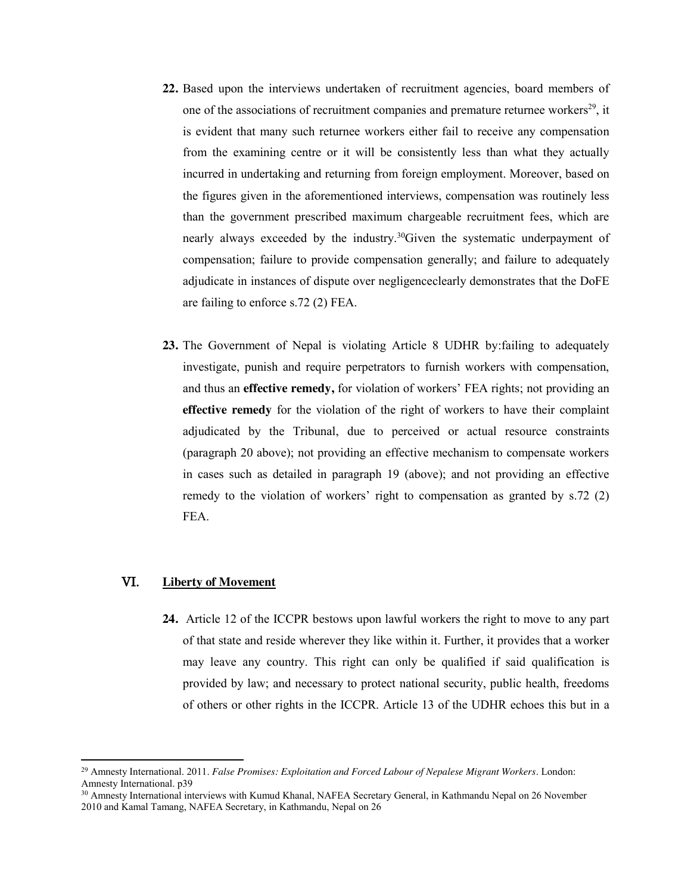- **22.** Based upon the interviews undertaken of recruitment agencies, board members of one of the associations of recruitment companies and premature returnee workers<sup>29</sup>, it is evident that many such returnee workers either fail to receive any compensation from the examining centre or it will be consistently less than what they actually incurred in undertaking and returning from foreign employment. Moreover, based on the figures given in the aforementioned interviews, compensation was routinely less than the government prescribed maximum chargeable recruitment fees, which are nearly always exceeded by the industry.30Given the systematic underpayment of compensation; failure to provide compensation generally; and failure to adequately adjudicate in instances of dispute over negligenceclearly demonstrates that the DoFE are failing to enforce s.72 (2) FEA.
- **23.** The Government of Nepal is violating Article 8 UDHR by:failing to adequately investigate, punish and require perpetrators to furnish workers with compensation, and thus an **effective remedy,** for violation of workers' FEA rights; not providing an **effective remedy** for the violation of the right of workers to have their complaint adjudicated by the Tribunal, due to perceived or actual resource constraints (paragraph 20 above); not providing an effective mechanism to compensate workers in cases such as detailed in paragraph 19 (above); and not providing an effective remedy to the violation of workers' right to compensation as granted by s.72 (2) FEA.

## VI. **Liberty of Movement**

 $\overline{\phantom{a}}$ 

**24.** Article 12 of the ICCPR bestows upon lawful workers the right to move to any part of that state and reside wherever they like within it. Further, it provides that a worker may leave any country. This right can only be qualified if said qualification is provided by law; and necessary to protect national security, public health, freedoms of others or other rights in the ICCPR. Article 13 of the UDHR echoes this but in a

<sup>29</sup> Amnesty International. 2011. *False Promises: Exploitation and Forced Labour of Nepalese Migrant Workers*. London: Amnesty International. p39

<sup>&</sup>lt;sup>30</sup> Amnesty International interviews with Kumud Khanal, NAFEA Secretary General, in Kathmandu Nepal on 26 November 2010 and Kamal Tamang, NAFEA Secretary, in Kathmandu, Nepal on 26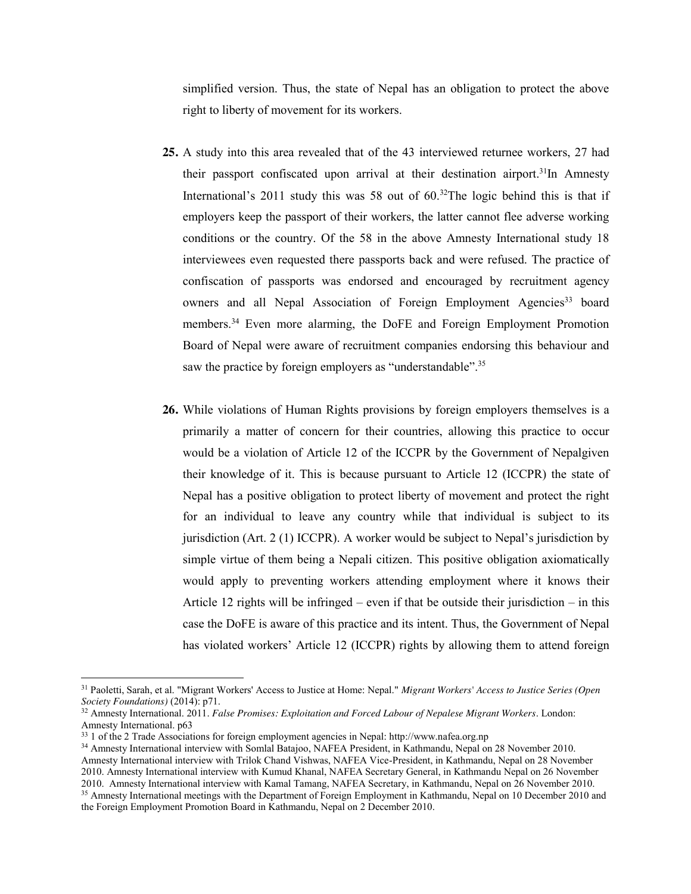simplified version. Thus, the state of Nepal has an obligation to protect the above right to liberty of movement for its workers.

- **25.** A study into this area revealed that of the 43 interviewed returnee workers, 27 had their passport confiscated upon arrival at their destination airport.<sup>31</sup>In Amnesty International's 2011 study this was 58 out of  $60<sup>32</sup>$ The logic behind this is that if employers keep the passport of their workers, the latter cannot flee adverse working conditions or the country. Of the 58 in the above Amnesty International study 18 interviewees even requested there passports back and were refused. The practice of confiscation of passports was endorsed and encouraged by recruitment agency owners and all Nepal Association of Foreign Employment Agencies<sup>33</sup> board members.34 Even more alarming, the DoFE and Foreign Employment Promotion Board of Nepal were aware of recruitment companies endorsing this behaviour and saw the practice by foreign employers as "understandable".<sup>35</sup>
- **26.** While violations of Human Rights provisions by foreign employers themselves is a primarily a matter of concern for their countries, allowing this practice to occur would be a violation of Article 12 of the ICCPR by the Government of Nepalgiven their knowledge of it. This is because pursuant to Article 12 (ICCPR) the state of Nepal has a positive obligation to protect liberty of movement and protect the right for an individual to leave any country while that individual is subject to its jurisdiction (Art. 2 (1) ICCPR). A worker would be subject to Nepal's jurisdiction by simple virtue of them being a Nepali citizen. This positive obligation axiomatically would apply to preventing workers attending employment where it knows their Article 12 rights will be infringed – even if that be outside their jurisdiction – in this case the DoFE is aware of this practice and its intent. Thus, the Government of Nepal has violated workers' Article 12 (ICCPR) rights by allowing them to attend foreign

<sup>31</sup> Paoletti, Sarah, et al. "Migrant Workers' Access to Justice at Home: Nepal." *Migrant Workers' Access to Justice Series (Open Society Foundations)* (2014): p71.

<sup>32</sup> Amnesty International. 2011. *False Promises: Exploitation and Forced Labour of Nepalese Migrant Workers*. London: Amnesty International. p63

<sup>33</sup> 1 of the 2 Trade Associations for foreign employment agencies in Nepal: http://www.nafea.org.np

<sup>34</sup> Amnesty International interview with Somlal Batajoo, NAFEA President, in Kathmandu, Nepal on 28 November 2010. Amnesty International interview with Trilok Chand Vishwas, NAFEA Vice-President, in Kathmandu, Nepal on 28 November 2010. Amnesty International interview with Kumud Khanal, NAFEA Secretary General, in Kathmandu Nepal on 26 November 2010. Amnesty International interview with Kamal Tamang, NAFEA Secretary, in Kathmandu, Nepal on 26 November 2010. <sup>35</sup> Amnesty International meetings with the Department of Foreign Employment in Kathmandu, Nepal on 10 December 2010 and the Foreign Employment Promotion Board in Kathmandu, Nepal on 2 December 2010.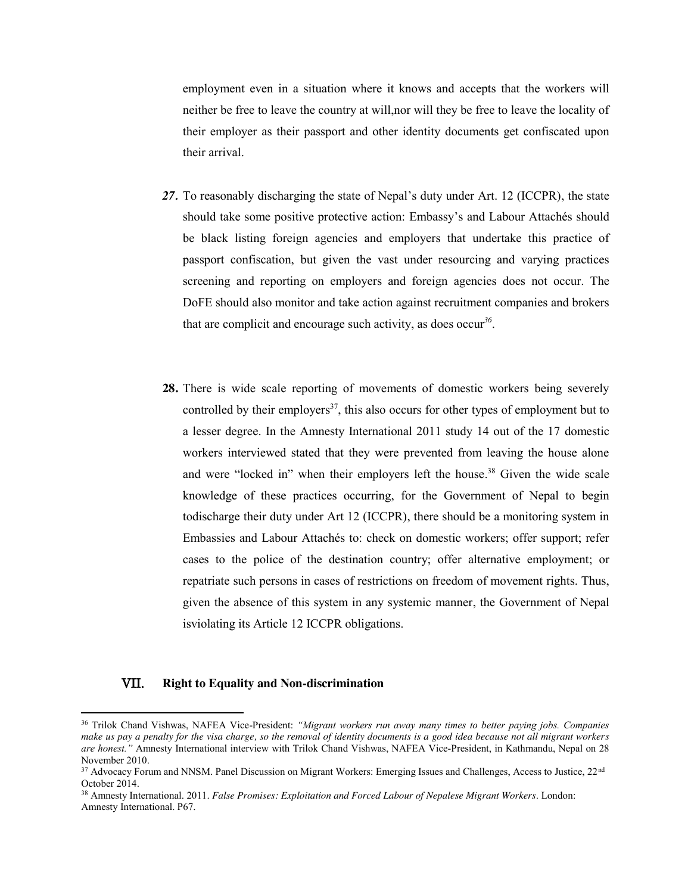employment even in a situation where it knows and accepts that the workers will neither be free to leave the country at will,nor will they be free to leave the locality of their employer as their passport and other identity documents get confiscated upon their arrival.

- *27.* To reasonably discharging the state of Nepal's duty under Art. 12 (ICCPR), the state should take some positive protective action: Embassy's and Labour Attachés should be black listing foreign agencies and employers that undertake this practice of passport confiscation, but given the vast under resourcing and varying practices screening and reporting on employers and foreign agencies does not occur. The DoFE should also monitor and take action against recruitment companies and brokers that are complicit and encourage such activity, as does occur*<sup>36</sup>*.
- **28.** There is wide scale reporting of movements of domestic workers being severely controlled by their employers $37$ , this also occurs for other types of employment but to a lesser degree. In the Amnesty International 2011 study 14 out of the 17 domestic workers interviewed stated that they were prevented from leaving the house alone and were "locked in" when their employers left the house. <sup>38</sup> Given the wide scale knowledge of these practices occurring, for the Government of Nepal to begin todischarge their duty under Art 12 (ICCPR), there should be a monitoring system in Embassies and Labour Attachés to: check on domestic workers; offer support; refer cases to the police of the destination country; offer alternative employment; or repatriate such persons in cases of restrictions on freedom of movement rights. Thus, given the absence of this system in any systemic manner, the Government of Nepal isviolating its Article 12 ICCPR obligations.

## VII. **Right to Equality and Non-discrimination**

<sup>36</sup> Trilok Chand Vishwas, NAFEA Vice-President: *"Migrant workers run away many times to better paying jobs. Companies make us pay a penalty for the visa charge, so the removal of identity documents is a good idea because not all migrant workers are honest."* Amnesty International interview with Trilok Chand Vishwas, NAFEA Vice-President, in Kathmandu, Nepal on 28 November 2010.

<sup>&</sup>lt;sup>37</sup> Advocacy Forum and NNSM. Panel Discussion on Migrant Workers: Emerging Issues and Challenges, Access to Justice, 22<sup>nd</sup> October 2014.

<sup>38</sup> Amnesty International. 2011. *False Promises: Exploitation and Forced Labour of Nepalese Migrant Workers*. London: Amnesty International. P67.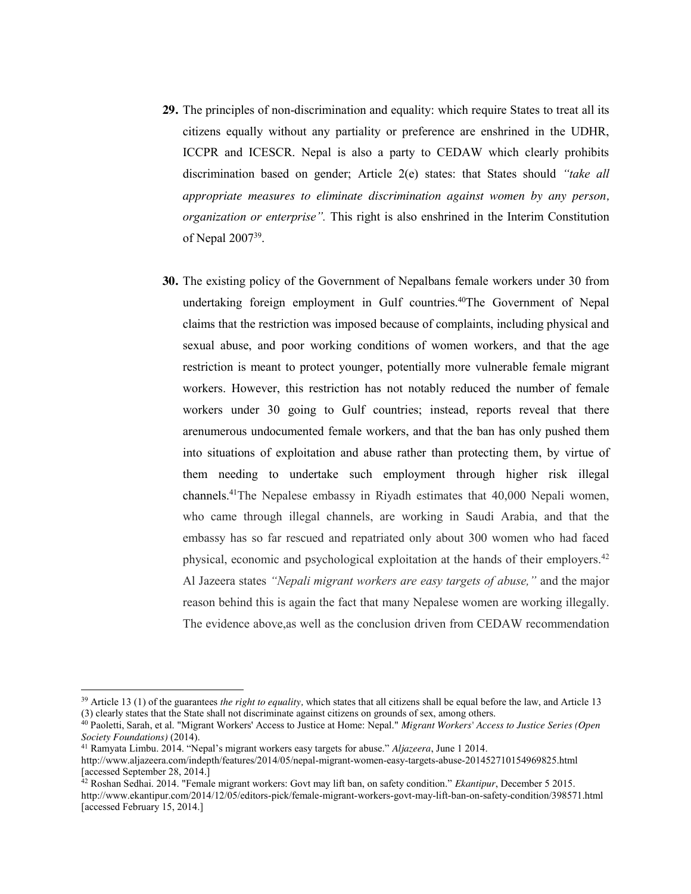- **29.** The principles of non-discrimination and equality: which require States to treat all its citizens equally without any partiality or preference are enshrined in the UDHR, ICCPR and ICESCR. Nepal is also a party to CEDAW which clearly prohibits discrimination based on gender; Article 2(e) states: that States should *"take all appropriate measures to eliminate discrimination against women by any person, organization or enterprise".* This right is also enshrined in the Interim Constitution of Nepal 200739.
- **30.** The existing policy of the Government of Nepalbans female workers under 30 from undertaking foreign employment in Gulf countries.40The Government of Nepal claims that the restriction was imposed because of complaints, including physical and sexual abuse, and poor working conditions of women workers, and that the age restriction is meant to protect younger, potentially more vulnerable female migrant workers. However, this restriction has not notably reduced the number of female workers under 30 going to Gulf countries; instead, reports reveal that there arenumerous undocumented female workers, and that the ban has only pushed them into situations of exploitation and abuse rather than protecting them, by virtue of them needing to undertake such employment through higher risk illegal channels.41The Nepalese embassy in Riyadh estimates that 40,000 Nepali women, who came through illegal channels, are working in Saudi Arabia, and that the embassy has so far rescued and repatriated only about 300 women who had faced physical, economic and psychological exploitation at the hands of their employers.42 Al Jazeera states *"Nepali migrant workers are easy targets of abuse,"* and the major reason behind this is again the fact that many Nepalese women are working illegally. The evidence above,as well as the conclusion driven from CEDAW recommendation

<sup>&</sup>lt;sup>39</sup> Article 13 (1) of the guarantees *the right to equality*, which states that all citizens shall be equal before the law, and Article 13 (3) clearly states that the State shall not discriminate against citizens on grounds of sex, among others.

<sup>40</sup> Paoletti, Sarah, et al. "Migrant Workers' Access to Justice at Home: Nepal." *Migrant Workers' Access to Justice Series (Open* 

*Society Foundations)* (2014). 41 Ramyata Limbu. 2014. "Nepal's migrant workers easy targets for abuse." *Aljazeera*, June 1 2014.

http://www.aljazeera.com/indepth/features/2014/05/nepal-migrant-women-easy-targets-abuse-201452710154969825.html [accessed September 28, 2014.]

<sup>42</sup> Roshan Sedhai. 2014. "Female migrant workers: Govt may lift ban, on safety condition." *Ekantipur*, December 5 2015. http://www.ekantipur.com/2014/12/05/editors-pick/female-migrant-workers-govt-may-lift-ban-on-safety-condition/398571.html [accessed February 15, 2014.]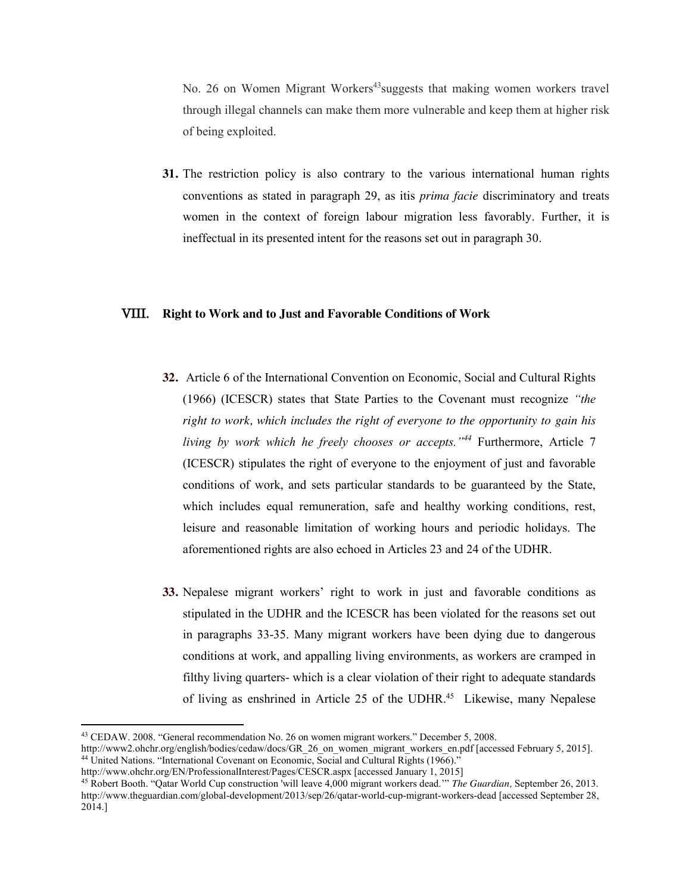No. 26 on Women Migrant Workers<sup>43</sup>suggests that making women workers travel through illegal channels can make them more vulnerable and keep them at higher risk of being exploited.

**31.** The restriction policy is also contrary to the various international human rights conventions as stated in paragraph 29, as itis *prima facie* discriminatory and treats women in the context of foreign labour migration less favorably. Further, it is ineffectual in its presented intent for the reasons set out in paragraph 30.

#### VIII. **Right to Work and to Just and Favorable Conditions of Work**

- **32.** Article 6 of the International Convention on Economic, Social and Cultural Rights (1966) (ICESCR) states that State Parties to the Covenant must recognize *"the right to work, which includes the right of everyone to the opportunity to gain his living by work which he freely chooses or accepts."<sup>44</sup>* Furthermore, Article 7 (ICESCR) stipulates the right of everyone to the enjoyment of just and favorable conditions of work, and sets particular standards to be guaranteed by the State, which includes equal remuneration, safe and healthy working conditions, rest, leisure and reasonable limitation of working hours and periodic holidays. The aforementioned rights are also echoed in Articles 23 and 24 of the UDHR.
- **33.** Nepalese migrant workers' right to work in just and favorable conditions as stipulated in the UDHR and the ICESCR has been violated for the reasons set out in paragraphs 33-35. Many migrant workers have been dying due to dangerous conditions at work, and appalling living environments, as workers are cramped in filthy living quarters- which is a clear violation of their right to adequate standards of living as enshrined in Article 25 of the UDHR. 45 Likewise, many Nepalese

<sup>43</sup> CEDAW. 2008. "General recommendation No. 26 on women migrant workers." December 5, 2008.

http://www2.ohchr.org/english/bodies/cedaw/docs/GR\_26\_on\_women\_migrant\_workers\_en.pdf [accessed February 5, 2015]. <sup>44</sup> United Nations. "International Covenant on Economic, Social and Cultural Rights (1966)."

http://www.ohchr.org/EN/ProfessionalInterest/Pages/CESCR.aspx [accessed January 1, 2015]

<sup>45</sup> Robert Booth. "Qatar World Cup construction 'will leave 4,000 migrant workers dead.'" *The Guardian,* September 26, 2013. http://www.theguardian.com/global-development/2013/sep/26/qatar-world-cup-migrant-workers-dead [accessed September 28, 2014.]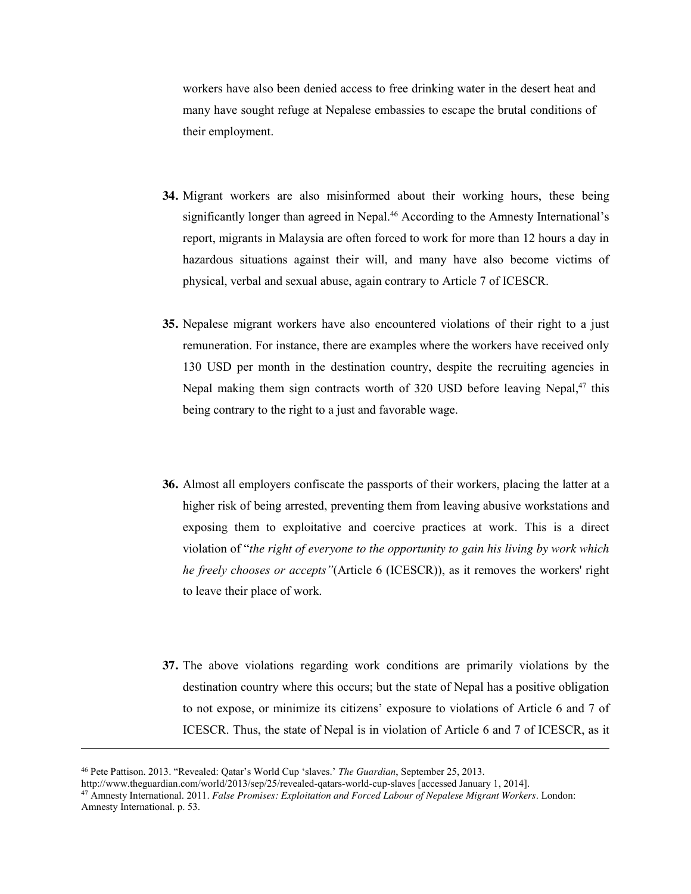workers have also been denied access to free drinking water in the desert heat and many have sought refuge at Nepalese embassies to escape the brutal conditions of their employment.

- **34.** Migrant workers are also misinformed about their working hours, these being significantly longer than agreed in Nepal.<sup>46</sup> According to the Amnesty International's report, migrants in Malaysia are often forced to work for more than 12 hours a day in hazardous situations against their will, and many have also become victims of physical, verbal and sexual abuse, again contrary to Article 7 of ICESCR.
- **35.** Nepalese migrant workers have also encountered violations of their right to a just remuneration. For instance, there are examples where the workers have received only 130 USD per month in the destination country, despite the recruiting agencies in Nepal making them sign contracts worth of 320 USD before leaving Nepal,<sup>47</sup> this being contrary to the right to a just and favorable wage.
- **36.** Almost all employers confiscate the passports of their workers, placing the latter at a higher risk of being arrested, preventing them from leaving abusive workstations and exposing them to exploitative and coercive practices at work. This is a direct violation of "*the right of everyone to the opportunity to gain his living by work which he freely chooses or accepts"*(Article 6 (ICESCR)), as it removes the workers' right to leave their place of work.
- **37.** The above violations regarding work conditions are primarily violations by the destination country where this occurs; but the state of Nepal has a positive obligation to not expose, or minimize its citizens' exposure to violations of Article 6 and 7 of ICESCR. Thus, the state of Nepal is in violation of Article 6 and 7 of ICESCR, as it

l

<sup>46</sup> Pete Pattison. 2013. "Revealed: Qatar's World Cup 'slaves.' *The Guardian*, September 25, 2013.

http://www.theguardian.com/world/2013/sep/25/revealed-qatars-world-cup-slaves [accessed January 1, 2014].

<sup>47</sup> Amnesty International. 2011. *False Promises: Exploitation and Forced Labour of Nepalese Migrant Workers*. London: Amnesty International. p. 53.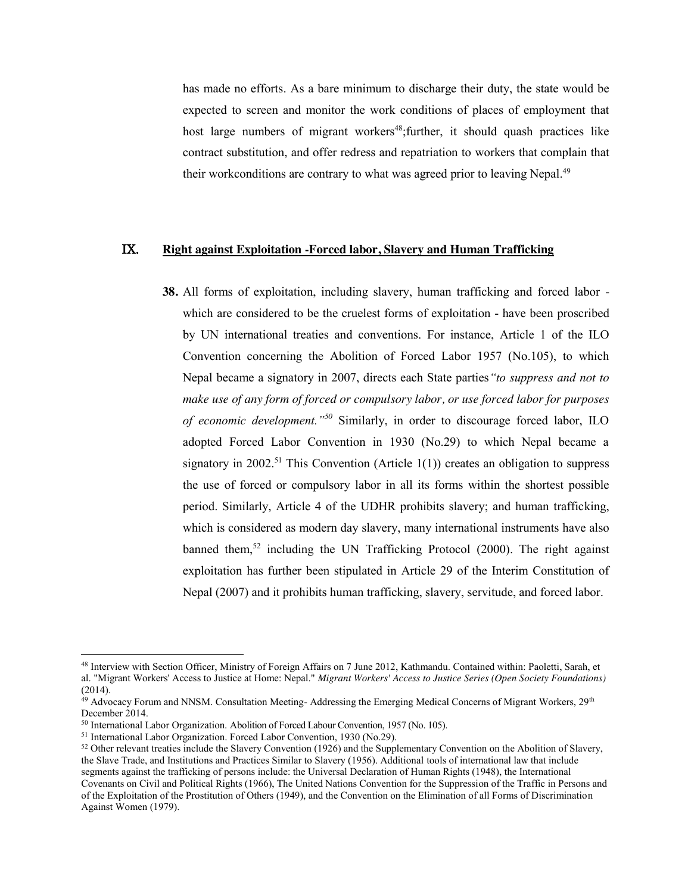has made no efforts. As a bare minimum to discharge their duty, the state would be expected to screen and monitor the work conditions of places of employment that host large numbers of migrant workers<sup>48</sup>; further, it should quash practices like contract substitution, and offer redress and repatriation to workers that complain that their workconditions are contrary to what was agreed prior to leaving Nepal.<sup>49</sup>

### IX. **Right against Exploitation -Forced labor, Slavery and Human Trafficking**

**38.** All forms of exploitation, including slavery, human trafficking and forced labor which are considered to be the cruelest forms of exploitation - have been proscribed by UN international treaties and conventions. For instance, Article 1 of the ILO Convention concerning the Abolition of Forced Labor 1957 (No.105), to which Nepal became a signatory in 2007, directs each State parties*"to suppress and not to make use of any form of forced or compulsory labor, or use forced labor for purposes of economic development."<sup>50</sup>* Similarly, in order to discourage forced labor, ILO adopted Forced Labor Convention in 1930 (No.29) to which Nepal became a signatory in 2002.<sup>51</sup> This Convention (Article  $1(1)$ ) creates an obligation to suppress the use of forced or compulsory labor in all its forms within the shortest possible period. Similarly, Article 4 of the UDHR prohibits slavery; and human trafficking, which is considered as modern day slavery, many international instruments have also banned them, <sup>52</sup> including the UN Trafficking Protocol (2000). The right against exploitation has further been stipulated in Article 29 of the Interim Constitution of Nepal (2007) and it prohibits human trafficking, slavery, servitude, and forced labor.

<sup>48</sup> Interview with Section Officer, Ministry of Foreign Affairs on 7 June 2012, Kathmandu. Contained within: Paoletti, Sarah, et al. "Migrant Workers' Access to Justice at Home: Nepal." *Migrant Workers' Access to Justice Series (Open Society Foundations)* (2014).

 $49$  Advocacy Forum and NNSM. Consultation Meeting-Addressing the Emerging Medical Concerns of Migrant Workers,  $29<sup>th</sup>$ December 2014.

<sup>50</sup> International Labor Organization. Abolition of Forced Labour Convention, 1957 (No. 105).

<sup>51</sup> International Labor Organization. Forced Labor Convention, 1930 (No.29).

<sup>&</sup>lt;sup>52</sup> Other relevant treaties include the Slavery Convention (1926) and the Supplementary Convention on the Abolition of Slavery, the Slave Trade, and Institutions and Practices Similar to Slavery (1956). Additional tools of international law that include segments against the trafficking of persons include: the Universal Declaration of Human Rights (1948), the International Covenants on Civil and Political Rights (1966), The United Nations Convention for the Suppression of the Traffic in Persons and of the Exploitation of the Prostitution of Others (1949), and the Convention on the Elimination of all Forms of Discrimination Against Women (1979).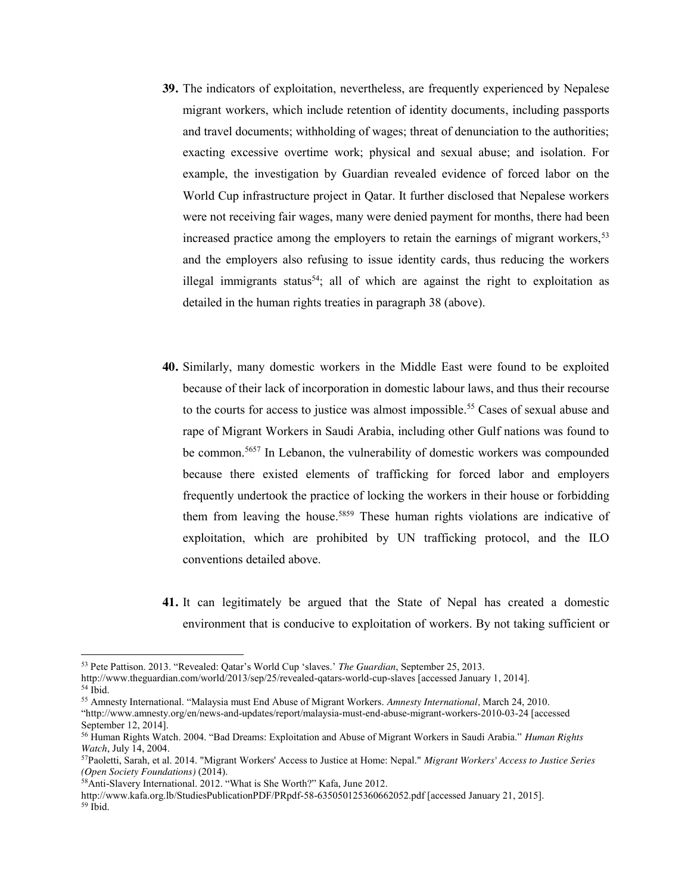- **39.** The indicators of exploitation, nevertheless, are frequently experienced by Nepalese migrant workers, which include retention of identity documents, including passports and travel documents; withholding of wages; threat of denunciation to the authorities; exacting excessive overtime work; physical and sexual abuse; and isolation. For example, the investigation by Guardian revealed evidence of forced labor on the World Cup infrastructure project in Qatar. It further disclosed that Nepalese workers were not receiving fair wages, many were denied payment for months, there had been increased practice among the employers to retain the earnings of migrant workers,<sup>53</sup> and the employers also refusing to issue identity cards, thus reducing the workers illegal immigrants status<sup>54</sup>; all of which are against the right to exploitation as detailed in the human rights treaties in paragraph 38 (above).
- **40.** Similarly, many domestic workers in the Middle East were found to be exploited because of their lack of incorporation in domestic labour laws, and thus their recourse to the courts for access to justice was almost impossible.<sup>55</sup> Cases of sexual abuse and rape of Migrant Workers in Saudi Arabia, including other Gulf nations was found to be common.<sup>5657</sup> In Lebanon, the vulnerability of domestic workers was compounded because there existed elements of trafficking for forced labor and employers frequently undertook the practice of locking the workers in their house or forbidding them from leaving the house.5859 These human rights violations are indicative of exploitation, which are prohibited by UN trafficking protocol, and the ILO conventions detailed above.
- **41.** It can legitimately be argued that the State of Nepal has created a domestic environment that is conducive to exploitation of workers. By not taking sufficient or

<sup>53</sup> Pete Pattison. 2013. "Revealed: Qatar's World Cup 'slaves.' *The Guardian*, September 25, 2013.

http://www.theguardian.com/world/2013/sep/25/revealed-qatars-world-cup-slaves [accessed January 1, 2014].

 $54$  Ibid.

<sup>55</sup> Amnesty International. "Malaysia must End Abuse of Migrant Workers. *Amnesty International,* March 24, 2010. "http://www.amnesty.org/en/news-and-updates/report/malaysia-must-end-abuse-migrant-workers-2010-03-24 [accessed September 12, 2014].

<sup>56</sup> Human Rights Watch. 2004. "Bad Dreams: Exploitation and Abuse of Migrant Workers in Saudi Arabia." *Human Rights* 

*Watch*, July 14, 2004. 57Paoletti, Sarah, et al. 2014. "Migrant Workers' Access to Justice at Home: Nepal." *Migrant Workers' Access to Justice Series (Open Society Foundations)* (2014).

<sup>58</sup>Anti-Slavery International. 2012. "What is She Worth?" Kafa, June 2012.

http://www.kafa.org.lb/StudiesPublicationPDF/PRpdf-58-635050125360662052.pdf [accessed January 21, 2015]. <sup>59</sup> Ibid.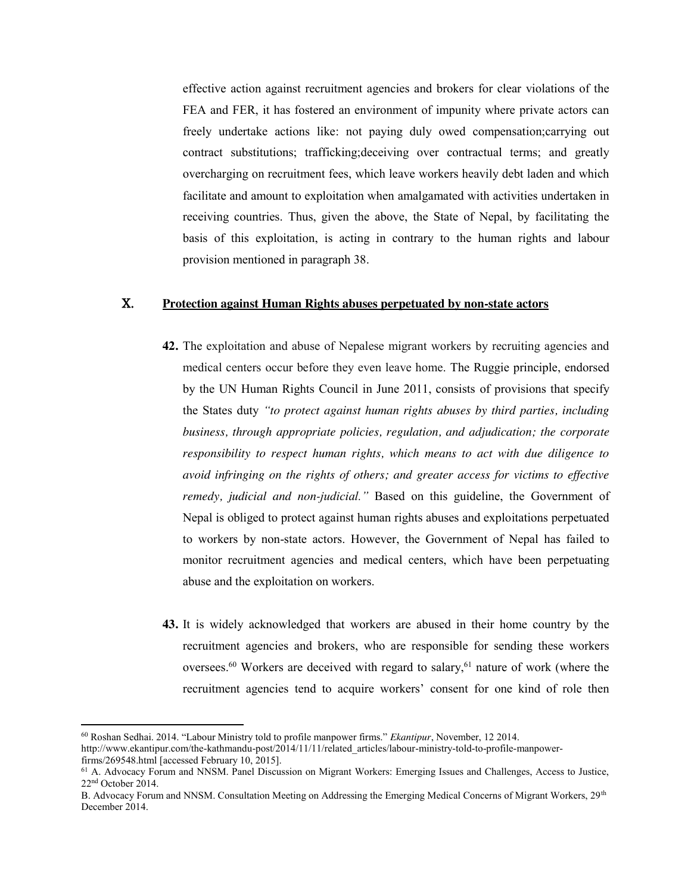effective action against recruitment agencies and brokers for clear violations of the FEA and FER, it has fostered an environment of impunity where private actors can freely undertake actions like: not paying duly owed compensation;carrying out contract substitutions; trafficking;deceiving over contractual terms; and greatly overcharging on recruitment fees, which leave workers heavily debt laden and which facilitate and amount to exploitation when amalgamated with activities undertaken in receiving countries. Thus, given the above, the State of Nepal, by facilitating the basis of this exploitation, is acting in contrary to the human rights and labour provision mentioned in paragraph 38.

## X. **Protection against Human Rights abuses perpetuated by non-state actors**

- **42.** The exploitation and abuse of Nepalese migrant workers by recruiting agencies and medical centers occur before they even leave home. The Ruggie principle, endorsed by the UN Human Rights Council in June 2011, consists of provisions that specify the States duty *"to protect against human rights abuses by third parties, including business, through appropriate policies, regulation, and adjudication; the corporate responsibility to respect human rights, which means to act with due diligence to avoid infringing on the rights of others; and greater access for victims to effective remedy, judicial and non-judicial."* Based on this guideline, the Government of Nepal is obliged to protect against human rights abuses and exploitations perpetuated to workers by non-state actors. However, the Government of Nepal has failed to monitor recruitment agencies and medical centers, which have been perpetuating abuse and the exploitation on workers.
- **43.** It is widely acknowledged that workers are abused in their home country by the recruitment agencies and brokers, who are responsible for sending these workers oversees.<sup>60</sup> Workers are deceived with regard to salary,<sup>61</sup> nature of work (where the recruitment agencies tend to acquire workers' consent for one kind of role then

<sup>60</sup> Roshan Sedhai. 2014. "Labour Ministry told to profile manpower firms." *Ekantipur*, November, 12 2014.

http://www.ekantipur.com/the-kathmandu-post/2014/11/11/related\_articles/labour-ministry-told-to-profile-manpower-

firms/269548.html [accessed February 10, 2015].

<sup>61</sup> A. Advocacy Forum and NNSM. Panel Discussion on Migrant Workers: Emerging Issues and Challenges, Access to Justice, 22nd October 2014.

B. Advocacy Forum and NNSM. Consultation Meeting on Addressing the Emerging Medical Concerns of Migrant Workers, 29<sup>th</sup> December 2014.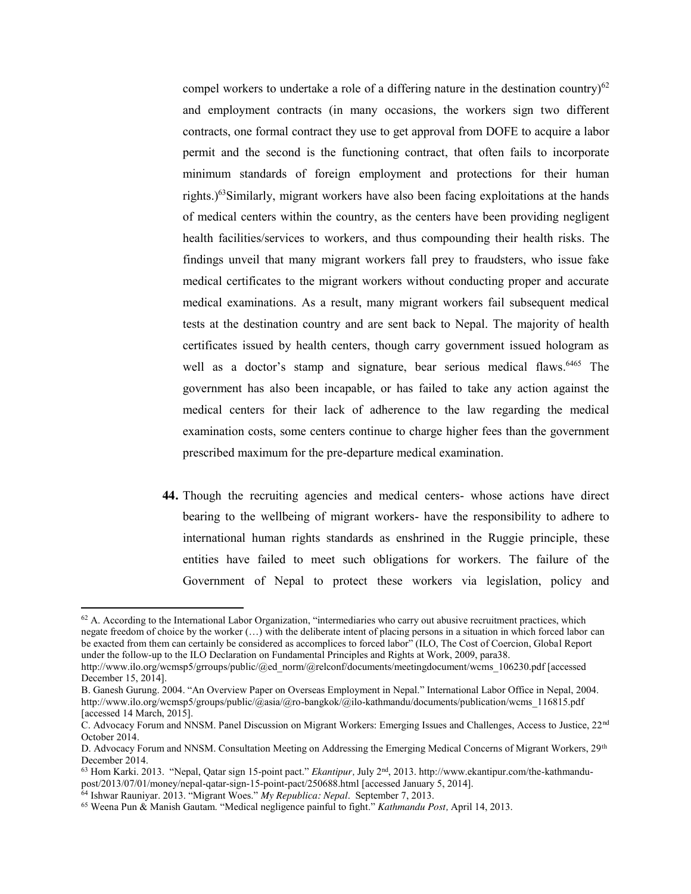compel workers to undertake a role of a differing nature in the destination country) $62$ and employment contracts (in many occasions, the workers sign two different contracts, one formal contract they use to get approval from DOFE to acquire a labor permit and the second is the functioning contract, that often fails to incorporate minimum standards of foreign employment and protections for their human rights.)63Similarly, migrant workers have also been facing exploitations at the hands of medical centers within the country, as the centers have been providing negligent health facilities/services to workers, and thus compounding their health risks. The findings unveil that many migrant workers fall prey to fraudsters, who issue fake medical certificates to the migrant workers without conducting proper and accurate medical examinations. As a result, many migrant workers fail subsequent medical tests at the destination country and are sent back to Nepal. The majority of health certificates issued by health centers, though carry government issued hologram as well as a doctor's stamp and signature, bear serious medical flaws. <sup>6465</sup> The government has also been incapable, or has failed to take any action against the medical centers for their lack of adherence to the law regarding the medical examination costs, some centers continue to charge higher fees than the government prescribed maximum for the pre-departure medical examination.

**44.** Though the recruiting agencies and medical centers- whose actions have direct bearing to the wellbeing of migrant workers- have the responsibility to adhere to international human rights standards as enshrined in the Ruggie principle, these entities have failed to meet such obligations for workers. The failure of the Government of Nepal to protect these workers via legislation, policy and

 $62$  A. According to the International Labor Organization, "intermediaries who carry out abusive recruitment practices, which negate freedom of choice by the worker (…) with the deliberate intent of placing persons in a situation in which forced labor can be exacted from them can certainly be considered as accomplices to forced labor" (ILO, The Cost of Coercion, Global Report under the follow-up to the ILO Declaration on Fundamental Principles and Rights at Work, 2009, para38.

http://www.ilo.org/wcmsp5/grroups/public/@ed\_norm/@relconf/documents/meetingdocument/wcms\_106230.pdf [accessed December 15, 2014].

B. Ganesh Gurung. 2004. "An Overview Paper on Overseas Employment in Nepal." International Labor Office in Nepal, 2004. http://www.ilo.org/wcmsp5/groups/public/@asia/@ro-bangkok/@ilo-kathmandu/documents/publication/wcms\_116815.pdf [accessed 14 March, 2015].

C. Advocacy Forum and NNSM. Panel Discussion on Migrant Workers: Emerging Issues and Challenges, Access to Justice, 22nd October 2014.

D. Advocacy Forum and NNSM. Consultation Meeting on Addressing the Emerging Medical Concerns of Migrant Workers, 29<sup>th</sup> December 2014.

<sup>63</sup> Hom Karki. 2013. "Nepal, Qatar sign 15-point pact." *Ekantipur,* July 2nd, 2013. http://www.ekantipur.com/the-kathmandupost/2013/07/01/money/nepal-qatar-sign-15-point-pact/250688.html [accessed January 5, 2014].

<sup>64</sup> Ishwar Rauniyar. 2013. "Migrant Woes." *My Republica: Nepal*. September 7, 2013.

<sup>65</sup> Weena Pun & Manish Gautam. "Medical negligence painful to fight." *Kathmandu Post,* April 14, 2013.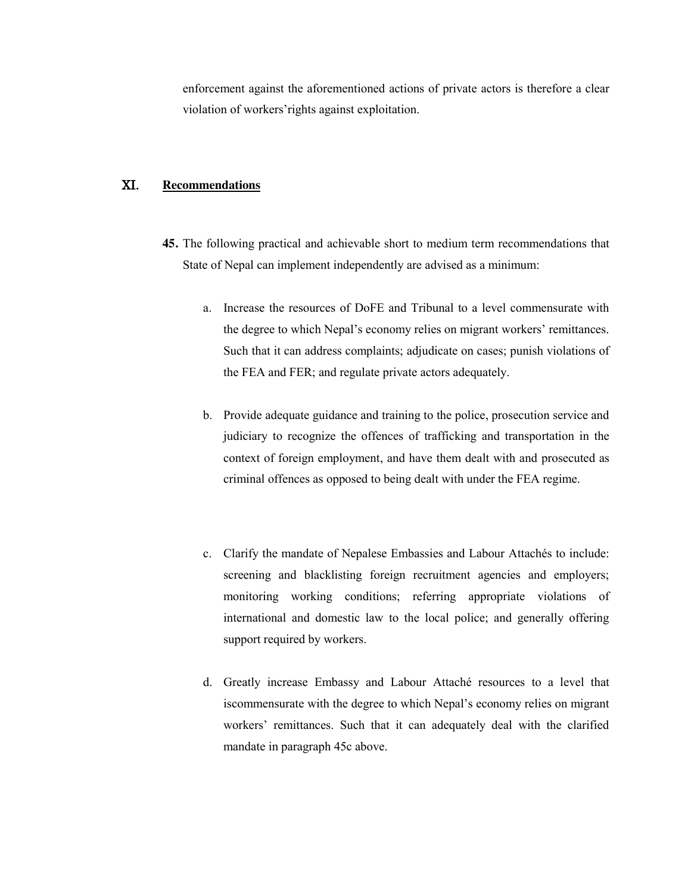enforcement against the aforementioned actions of private actors is therefore a clear violation of workers'rights against exploitation.

# XI. **Recommendations**

- **45.** The following practical and achievable short to medium term recommendations that State of Nepal can implement independently are advised as a minimum:
	- a. Increase the resources of DoFE and Tribunal to a level commensurate with the degree to which Nepal's economy relies on migrant workers' remittances. Such that it can address complaints; adjudicate on cases; punish violations of the FEA and FER; and regulate private actors adequately.
	- b. Provide adequate guidance and training to the police, prosecution service and judiciary to recognize the offences of trafficking and transportation in the context of foreign employment, and have them dealt with and prosecuted as criminal offences as opposed to being dealt with under the FEA regime.
	- c. Clarify the mandate of Nepalese Embassies and Labour Attachés to include: screening and blacklisting foreign recruitment agencies and employers; monitoring working conditions; referring appropriate violations of international and domestic law to the local police; and generally offering support required by workers.
	- d. Greatly increase Embassy and Labour Attaché resources to a level that iscommensurate with the degree to which Nepal's economy relies on migrant workers' remittances. Such that it can adequately deal with the clarified mandate in paragraph 45c above.